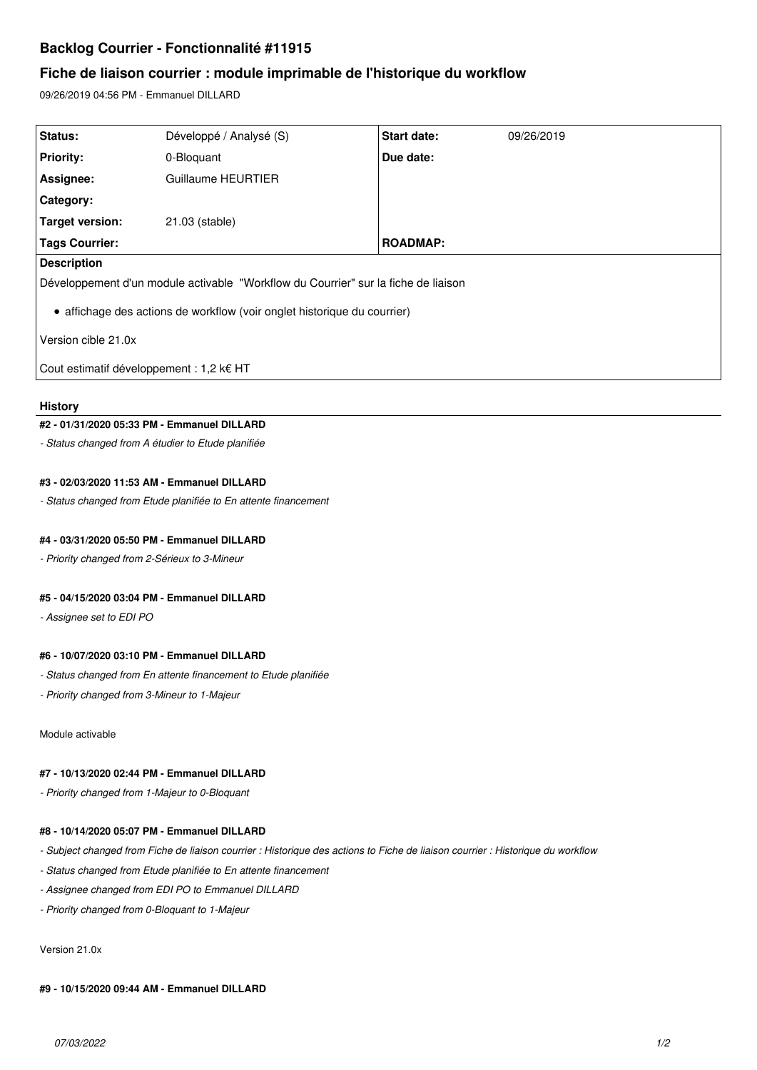# **Backlog Courrier - Fonctionnalité #11915**

# **Fiche de liaison courrier : module imprimable de l'historique du workflow**

09/26/2019 04:56 PM - Emmanuel DILLARD

| <b>Status:</b>                                                                     | Développé / Analysé (S) | Start date:     | 09/26/2019 |
|------------------------------------------------------------------------------------|-------------------------|-----------------|------------|
| <b>Priority:</b>                                                                   | 0-Bloquant              | Due date:       |            |
| Assignee:                                                                          | Guillaume HEURTIER      |                 |            |
| Category:                                                                          |                         |                 |            |
| Target version:                                                                    | 21.03 (stable)          |                 |            |
| <b>Tags Courrier:</b>                                                              |                         | <b>ROADMAP:</b> |            |
| <b>Description</b>                                                                 |                         |                 |            |
| Développement d'un module activable "Workflow du Courrier" sur la fiche de liaison |                         |                 |            |
| • affichage des actions de workflow (voir onglet historique du courrier)           |                         |                 |            |
| Version cible 21.0x                                                                |                         |                 |            |
| Cout estimatif développement : 1,2 k€ HT                                           |                         |                 |            |

### **History**

# **#2 - 01/31/2020 05:33 PM - Emmanuel DILLARD**

*- Status changed from A étudier to Etude planifiée*

# **#3 - 02/03/2020 11:53 AM - Emmanuel DILLARD**

*- Status changed from Etude planifiée to En attente financement*

# **#4 - 03/31/2020 05:50 PM - Emmanuel DILLARD**

*- Priority changed from 2-Sérieux to 3-Mineur*

# **#5 - 04/15/2020 03:04 PM - Emmanuel DILLARD**

*- Assignee set to EDI PO*

# **#6 - 10/07/2020 03:10 PM - Emmanuel DILLARD**

*- Status changed from En attente financement to Etude planifiée*

*- Priority changed from 3-Mineur to 1-Majeur*

Module activable

### **#7 - 10/13/2020 02:44 PM - Emmanuel DILLARD**

*- Priority changed from 1-Majeur to 0-Bloquant*

#### **#8 - 10/14/2020 05:07 PM - Emmanuel DILLARD**

- *Subject changed from Fiche de liaison courrier : Historique des actions to Fiche de liaison courrier : Historique du workflow*
- *Status changed from Etude planifiée to En attente financement*
- *Assignee changed from EDI PO to Emmanuel DILLARD*
- *Priority changed from 0-Bloquant to 1-Majeur*

#### Version 21.0x

#### **#9 - 10/15/2020 09:44 AM - Emmanuel DILLARD**